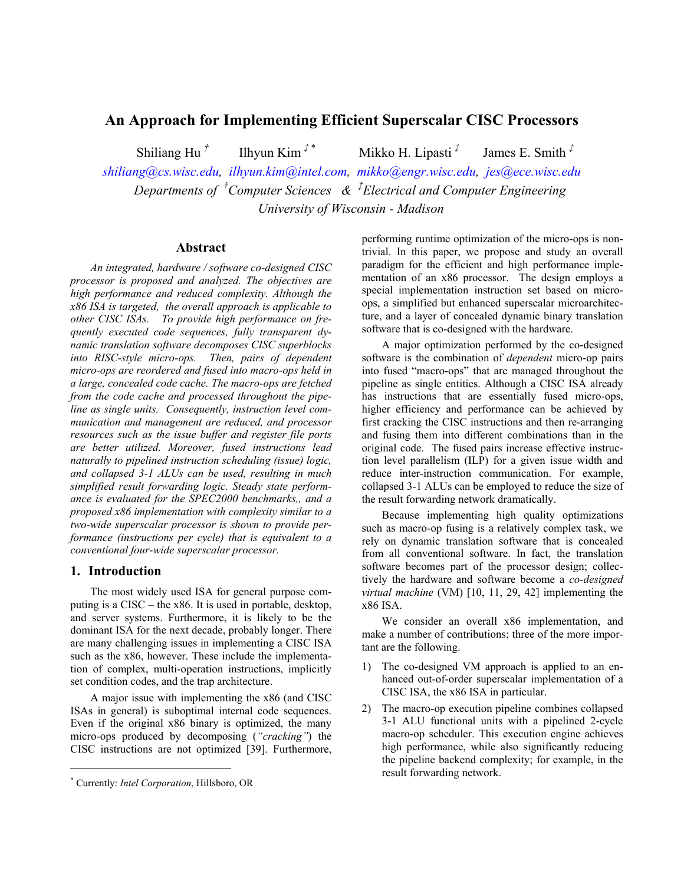# **An Approach for Implementing Efficient Superscalar CISC Processors**

 Shiliang Hu *†* Ilhyun Kim *‡* \*

 Mikko H. Lipasti *‡* James E. Smith *‡*

*[shiliang@cs.wisc.edu](mailto:shiliang@cs.wisc.edu), [ilhyun.kim@intel.com,](mailto:ilhyun.kim@intel.com) [mikko@engr.wisc.edu](mailto:mikko@engr.wisc.edu), [jes@ece.wisc.edu](mailto:jes@ece.wisc.edu) Departments of † Computer Sciences & ‡ Electrical and Computer Engineering University of Wisconsin - Madison* 

### **Abstract**

*An integrated, hardware / software co-designed CISC processor is proposed and analyzed. The objectives are high performance and reduced complexity. Although the x86 ISA is targeted, the overall approach is applicable to other CISC ISAs. To provide high performance on frequently executed code sequences, fully transparent dynamic translation software decomposes CISC superblocks into RISC-style micro-ops. Then, pairs of dependent micro-ops are reordered and fused into macro-ops held in a large, concealed code cache. The macro-ops are fetched from the code cache and processed throughout the pipeline as single units. Consequently, instruction level communication and management are reduced, and processor resources such as the issue buffer and register file ports are better utilized. Moreover, fused instructions lead naturally to pipelined instruction scheduling (issue) logic, and collapsed 3-1 ALUs can be used, resulting in much simplified result forwarding logic. Steady state performance is evaluated for the SPEC2000 benchmarks,, and a proposed x86 implementation with complexity similar to a two-wide superscalar processor is shown to provide performance (instructions per cycle) that is equivalent to a conventional four-wide superscalar processor.* 

# **1. Introduction**

l

The most widely used ISA for general purpose computing is a CISC – the x86. It is used in portable, desktop, and server systems. Furthermore, it is likely to be the dominant ISA for the next decade, probably longer. There are many challenging issues in implementing a CISC ISA such as the x86, however. These include the implementation of complex, multi-operation instructions, implicitly set condition codes, and the trap architecture.

A major issue with implementing the x86 (and CISC ISAs in general) is suboptimal internal code sequences. Even if the original x86 binary is optimized, the many micro-ops produced by decomposing (*"cracking"*) the CISC instructions are not optimized [39]. Furthermore,

performing runtime optimization of the micro-ops is nontrivial. In this paper, we propose and study an overall paradigm for the efficient and high performance implementation of an x86 processor. The design employs a special implementation instruction set based on microops, a simplified but enhanced superscalar microarchitecture, and a layer of concealed dynamic binary translation software that is co-designed with the hardware.

A major optimization performed by the co-designed software is the combination of *dependent* micro-op pairs into fused "macro-ops" that are managed throughout the pipeline as single entities. Although a CISC ISA already has instructions that are essentially fused micro-ops, higher efficiency and performance can be achieved by first cracking the CISC instructions and then re-arranging and fusing them into different combinations than in the original code. The fused pairs increase effective instruction level parallelism (ILP) for a given issue width and reduce inter-instruction communication. For example, collapsed 3-1 ALUs can be employed to reduce the size of the result forwarding network dramatically.

Because implementing high quality optimizations such as macro-op fusing is a relatively complex task, we rely on dynamic translation software that is concealed from all conventional software. In fact, the translation software becomes part of the processor design; collectively the hardware and software become a *co-designed virtual machine* (VM) [10, 11, 29, 42] implementing the x86 ISA.

We consider an overall x86 implementation, and make a number of contributions; three of the more important are the following.

- 1) The co-designed VM approach is applied to an enhanced out-of-order superscalar implementation of a CISC ISA, the x86 ISA in particular.
- 2) The macro-op execution pipeline combines collapsed 3-1 ALU functional units with a pipelined 2-cycle macro-op scheduler. This execution engine achieves high performance, while also significantly reducing the pipeline backend complexity; for example, in the result forwarding network.

<span id="page-0-0"></span><sup>\*</sup> Currently: *Intel Corporation*, Hillsboro, OR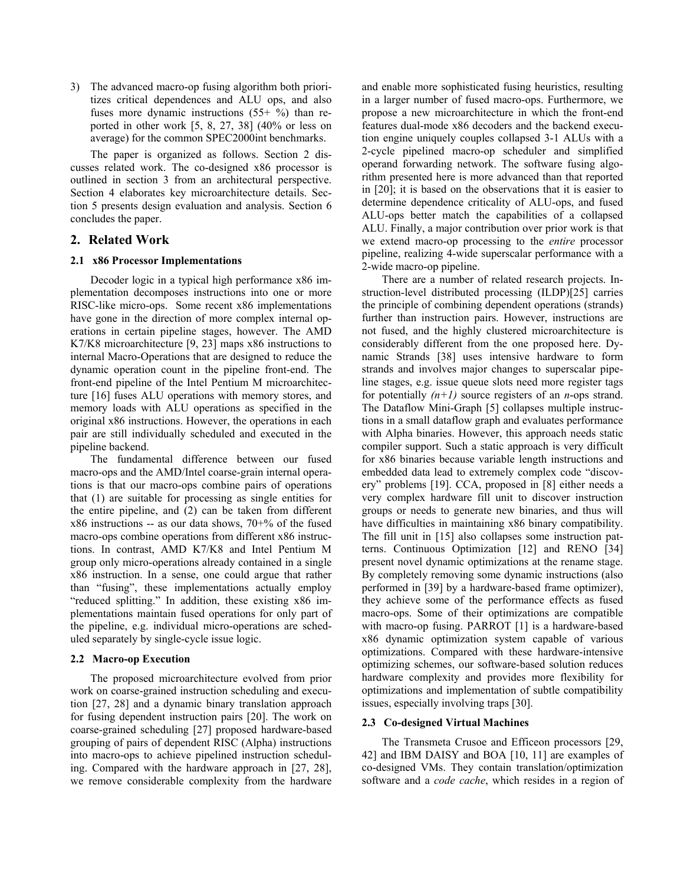3) The advanced macro-op fusing algorithm both prioritizes critical dependences and ALU ops, and also fuses more dynamic instructions  $(55+ %)$  than reported in other work [5, 8, 27, 38] (40% or less on average) for the common SPEC2000int benchmarks.

The paper is organized as follows. Section 2 discusses related work. The co-designed x86 processor is outlined in section 3 from an architectural perspective. Section 4 elaborates key microarchitecture details. Section 5 presents design evaluation and analysis. Section 6 concludes the paper.

# **2. Related Work**

### **2.1 x86 Processor Implementations**

Decoder logic in a typical high performance x86 implementation decomposes instructions into one or more RISC-like micro-ops. Some recent x86 implementations have gone in the direction of more complex internal operations in certain pipeline stages, however. The AMD K7/K8 microarchitecture [9, 23] maps x86 instructions to internal Macro-Operations that are designed to reduce the dynamic operation count in the pipeline front-end. The front-end pipeline of the Intel Pentium M microarchitecture [16] fuses ALU operations with memory stores, and memory loads with ALU operations as specified in the original x86 instructions. However, the operations in each pair are still individually scheduled and executed in the pipeline backend.

The fundamental difference between our fused macro-ops and the AMD/Intel coarse-grain internal operations is that our macro-ops combine pairs of operations that (1) are suitable for processing as single entities for the entire pipeline, and (2) can be taken from different  $x86$  instructions -- as our data shows,  $70+%$  of the fused macro-ops combine operations from different x86 instructions. In contrast, AMD K7/K8 and Intel Pentium M group only micro-operations already contained in a single x86 instruction. In a sense, one could argue that rather than "fusing", these implementations actually employ "reduced splitting." In addition, these existing x86 implementations maintain fused operations for only part of the pipeline, e.g. individual micro-operations are scheduled separately by single-cycle issue logic.

### **2.2 Macro-op Execution**

The proposed microarchitecture evolved from prior work on coarse-grained instruction scheduling and execution [27, 28] and a dynamic binary translation approach for fusing dependent instruction pairs [20]. The work on coarse-grained scheduling [27] proposed hardware-based grouping of pairs of dependent RISC (Alpha) instructions into macro-ops to achieve pipelined instruction scheduling. Compared with the hardware approach in [27, 28], we remove considerable complexity from the hardware and enable more sophisticated fusing heuristics, resulting in a larger number of fused macro-ops. Furthermore, we propose a new microarchitecture in which the front-end features dual-mode x86 decoders and the backend execution engine uniquely couples collapsed 3-1 ALUs with a 2-cycle pipelined macro-op scheduler and simplified operand forwarding network. The software fusing algorithm presented here is more advanced than that reported in [20]; it is based on the observations that it is easier to determine dependence criticality of ALU-ops, and fused ALU-ops better match the capabilities of a collapsed ALU. Finally, a major contribution over prior work is that we extend macro-op processing to the *entire* processor pipeline, realizing 4-wide superscalar performance with a 2-wide macro-op pipeline.

There are a number of related research projects. Instruction-level distributed processing (ILDP)[25] carries the principle of combining dependent operations (strands) further than instruction pairs. However, instructions are not fused, and the highly clustered microarchitecture is considerably different from the one proposed here. Dynamic Strands [38] uses intensive hardware to form strands and involves major changes to superscalar pipeline stages, e.g. issue queue slots need more register tags for potentially  $(n+1)$  source registers of an *n*-ops strand. The Dataflow Mini-Graph [5] collapses multiple instructions in a small dataflow graph and evaluates performance with Alpha binaries. However, this approach needs static compiler support. Such a static approach is very difficult for x86 binaries because variable length instructions and embedded data lead to extremely complex code "discovery" problems [19]. CCA, proposed in [8] either needs a very complex hardware fill unit to discover instruction groups or needs to generate new binaries, and thus will have difficulties in maintaining x86 binary compatibility. The fill unit in [15] also collapses some instruction patterns. Continuous Optimization [12] and RENO [34] present novel dynamic optimizations at the rename stage. By completely removing some dynamic instructions (also performed in [39] by a hardware-based frame optimizer), they achieve some of the performance effects as fused macro-ops. Some of their optimizations are compatible with macro-op fusing. PARROT [1] is a hardware-based x86 dynamic optimization system capable of various optimizations. Compared with these hardware-intensive optimizing schemes, our software-based solution reduces hardware complexity and provides more flexibility for optimizations and implementation of subtle compatibility issues, especially involving traps [30].

### **2.3 Co-designed Virtual Machines**

The Transmeta Crusoe and Efficeon processors [29, 42] and IBM DAISY and BOA [10, 11] are examples of co-designed VMs. They contain translation/optimization software and a *code cache*, which resides in a region of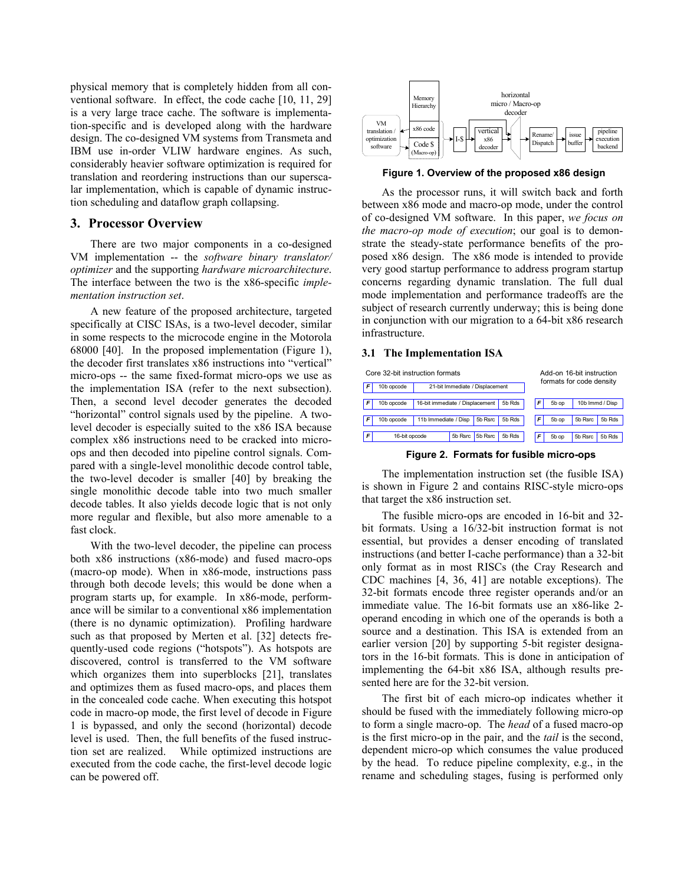physical memory that is completely hidden from all conventional software. In effect, the code cache [10, 11, 29] is a very large trace cache. The software is implementation-specific and is developed along with the hardware design. The co-designed VM systems from Transmeta and IBM use in-order VLIW hardware engines. As such, considerably heavier software optimization is required for translation and reordering instructions than our superscalar implementation, which is capable of dynamic instruction scheduling and dataflow graph collapsing.

# **3. Processor Overview**

There are two major components in a co-designed VM implementation -- the *software binary translator/ optimizer* and the supporting *hardware microarchitecture*. The interface between the two is the x86-specific *implementation instruction set*.

A new feature of the proposed architecture, targeted specifically at CISC ISAs, is a two-level decoder, similar in some respects to the microcode engine in the Motorola 68000 [40]. In the proposed implementation (Figure 1), the decoder first translates x86 instructions into "vertical" micro-ops -- the same fixed-format micro-ops we use as the implementation ISA (refer to the next subsection). Then, a second level decoder generates the decoded "horizontal" control signals used by the pipeline. A twolevel decoder is especially suited to the x86 ISA because complex x86 instructions need to be cracked into microops and then decoded into pipeline control signals. Compared with a single-level monolithic decode control table, the two-level decoder is smaller [40] by breaking the single monolithic decode table into two much smaller decode tables. It also yields decode logic that is not only more regular and flexible, but also more amenable to a fast clock.

With the two-level decoder, the pipeline can process both x86 instructions (x86-mode) and fused macro-ops (macro-op mode). When in x86-mode, instructions pass through both decode levels; this would be done when a program starts up, for example. In x86-mode, performance will be similar to a conventional x86 implementation (there is no dynamic optimization). Profiling hardware such as that proposed by Merten et al. [32] detects frequently-used code regions ("hotspots"). As hotspots are discovered, control is transferred to the VM software which organizes them into superblocks [21], translates and optimizes them as fused macro-ops, and places them in the concealed code cache. When executing this hotspot code in macro-op mode, the first level of decode in Figure 1 is bypassed, and only the second (horizontal) decode level is used. Then, the full benefits of the fused instruction set are realized. While optimized instructions are executed from the code cache, the first-level decode logic can be powered off.



 **Figure 1. Overview of the proposed x86 design**

As the processor runs, it will switch back and forth between x86 mode and macro-op mode, under the control of co-designed VM software. In this paper, *we focus on the macro-op mode of execution*; our goal is to demonstrate the steady-state performance benefits of the proposed x86 design. The x86 mode is intended to provide very good startup performance to address program startup concerns regarding dynamic translation. The full dual mode implementation and performance tradeoffs are the subject of research currently underway; this is being done in conjunction with our migration to a 64-bit x86 research infrastructure.

### **3.1 The Implementation ISA**

| Core 32-bit instruction formats |                                                         |                                           |         |        |   |                          | Add-on 16-bit instruction |                 |  |  |
|---------------------------------|---------------------------------------------------------|-------------------------------------------|---------|--------|---|--------------------------|---------------------------|-----------------|--|--|
|                                 | 10b opcode                                              | 21-bit Immediate / Displacement           |         |        |   | formats for code density |                           |                 |  |  |
| F                               | 10b opcode                                              | 5b Rds<br>16-bit immediate / Displacement |         |        |   |                          | 5b op                     | 10b Immd / Disp |  |  |
| F                               | 5b Rds<br>5b Rsrc<br>11b Immediate / Disp<br>10b opcode |                                           |         |        | F | 5b op                    | 5b Rsrc                   | 5b Rds          |  |  |
| F                               | 16-bit opcode                                           | 5b Rsrc                                   | 5b Rsrc | 5b Rds | F | 5b op                    | 5b Rsrc                   | 5b Rds          |  |  |

 **Figure 2. Formats for fusible micro-ops**

The implementation instruction set (the fusible ISA) is shown in Figure 2 and contains RISC-style micro-ops that target the x86 instruction set.

The fusible micro-ops are encoded in 16-bit and 32 bit formats. Using a 16/32-bit instruction format is not essential, but provides a denser encoding of translated instructions (and better I-cache performance) than a 32-bit only format as in most RISCs (the Cray Research and CDC machines [4, 36, 41] are notable exceptions). The 32-bit formats encode three register operands and/or an immediate value. The 16-bit formats use an x86-like 2 operand encoding in which one of the operands is both a source and a destination. This ISA is extended from an earlier version [20] by supporting 5-bit register designators in the 16-bit formats. This is done in anticipation of implementing the 64-bit x86 ISA, although results presented here are for the 32-bit version.

The first bit of each micro-op indicates whether it should be fused with the immediately following micro-op to form a single macro-op. The *head* of a fused macro-op is the first micro-op in the pair, and the *tail* is the second, dependent micro-op which consumes the value produced by the head. To reduce pipeline complexity, e.g., in the rename and scheduling stages, fusing is performed only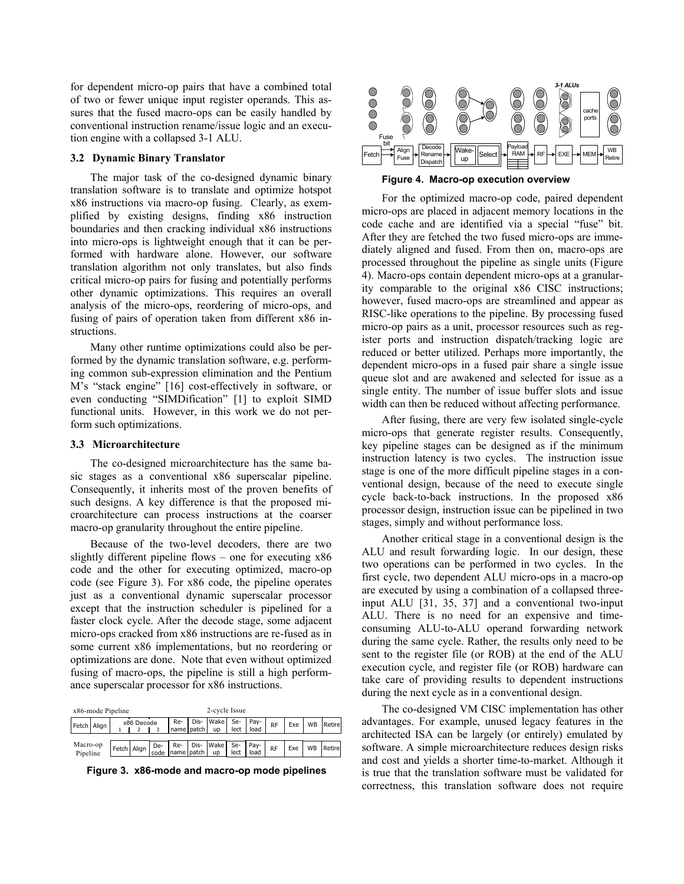for dependent micro-op pairs that have a combined total of two or fewer unique input register operands. This assures that the fused macro-ops can be easily handled by conventional instruction rename/issue logic and an execution engine with a collapsed 3-1 ALU.

### **3.2 Dynamic Binary Translator**

The major task of the co-designed dynamic binary translation software is to translate and optimize hotspot x86 instructions via macro-op fusing. Clearly, as exemplified by existing designs, finding x86 instruction boundaries and then cracking individual x86 instructions into micro-ops is lightweight enough that it can be performed with hardware alone. However, our software translation algorithm not only translates, but also finds critical micro-op pairs for fusing and potentially performs other dynamic optimizations. This requires an overall analysis of the micro-ops, reordering of micro-ops, and fusing of pairs of operation taken from different x86 instructions.

Many other runtime optimizations could also be performed by the dynamic translation software, e.g. performing common sub-expression elimination and the Pentium M's "stack engine" [16] cost-effectively in software, or even conducting "SIMDification" [1] to exploit SIMD functional units. However, in this work we do not perform such optimizations.

#### **3.3 Microarchitecture**

The co-designed microarchitecture has the same basic stages as a conventional x86 superscalar pipeline. Consequently, it inherits most of the proven benefits of such designs. A key difference is that the proposed microarchitecture can process instructions at the coarser macro-op granularity throughout the entire pipeline.

Because of the two-level decoders, there are two slightly different pipeline flows – one for executing x86 code and the other for executing optimized, macro-op code (see Figure 3). For x86 code, the pipeline operates just as a conventional dynamic superscalar processor except that the instruction scheduler is pipelined for a faster clock cycle. After the decode stage, some adjacent micro-ops cracked from x86 instructions are re-fused as in some current x86 implementations, but no reordering or optimizations are done. Note that even without optimized fusing of macro-ops, the pipeline is still a high performance superscalar processor for x86 instructions.

| x86-mode Pipeline    |  |  |             |             | 2-cycle Issue |  |                                                                     |  |              |           |     |           |         |
|----------------------|--|--|-------------|-------------|---------------|--|---------------------------------------------------------------------|--|--------------|-----------|-----|-----------|---------|
| Fetch   Align        |  |  | x86 Decode  |             |               |  | Re-   Dis-   Wake   Se-   Pay-  <br>name   patch   up   lect   load |  |              | RF        | Exe | WB        | Retirel |
| Macro-op<br>Pipeline |  |  | Fetch Align | De-<br>code |               |  | Re- Dis- Wake Se-<br>name patch up lect                             |  | Pay-<br>load | <b>RF</b> | Exe | <b>WB</b> | Retirel |

 **Figure 3. x86-mode and macro-op mode pipelines** 



**Figure 4. Macro-op execution overview**

For the optimized macro-op code, paired dependent micro-ops are placed in adjacent memory locations in the code cache and are identified via a special "fuse" bit. After they are fetched the two fused micro-ops are immediately aligned and fused. From then on, macro-ops are processed throughout the pipeline as single units (Figure 4). Macro-ops contain dependent micro-ops at a granularity comparable to the original x86 CISC instructions; however, fused macro-ops are streamlined and appear as RISC-like operations to the pipeline. By processing fused micro-op pairs as a unit, processor resources such as register ports and instruction dispatch/tracking logic are reduced or better utilized. Perhaps more importantly, the dependent micro-ops in a fused pair share a single issue queue slot and are awakened and selected for issue as a single entity. The number of issue buffer slots and issue width can then be reduced without affecting performance.

After fusing, there are very few isolated single-cycle micro-ops that generate register results. Consequently, key pipeline stages can be designed as if the minimum instruction latency is two cycles. The instruction issue stage is one of the more difficult pipeline stages in a conventional design, because of the need to execute single cycle back-to-back instructions. In the proposed x86 processor design, instruction issue can be pipelined in two stages, simply and without performance loss.

Another critical stage in a conventional design is the ALU and result forwarding logic. In our design, these two operations can be performed in two cycles. In the first cycle, two dependent ALU micro-ops in a macro-op are executed by using a combination of a collapsed threeinput ALU [31, 35, 37] and a conventional two-input ALU. There is no need for an expensive and timeconsuming ALU-to-ALU operand forwarding network during the same cycle. Rather, the results only need to be sent to the register file (or ROB) at the end of the ALU execution cycle, and register file (or ROB) hardware can take care of providing results to dependent instructions during the next cycle as in a conventional design.

The co-designed VM CISC implementation has other advantages. For example, unused legacy features in the architected ISA can be largely (or entirely) emulated by software. A simple microarchitecture reduces design risks and cost and yields a shorter time-to-market. Although it is true that the translation software must be validated for correctness, this translation software does not require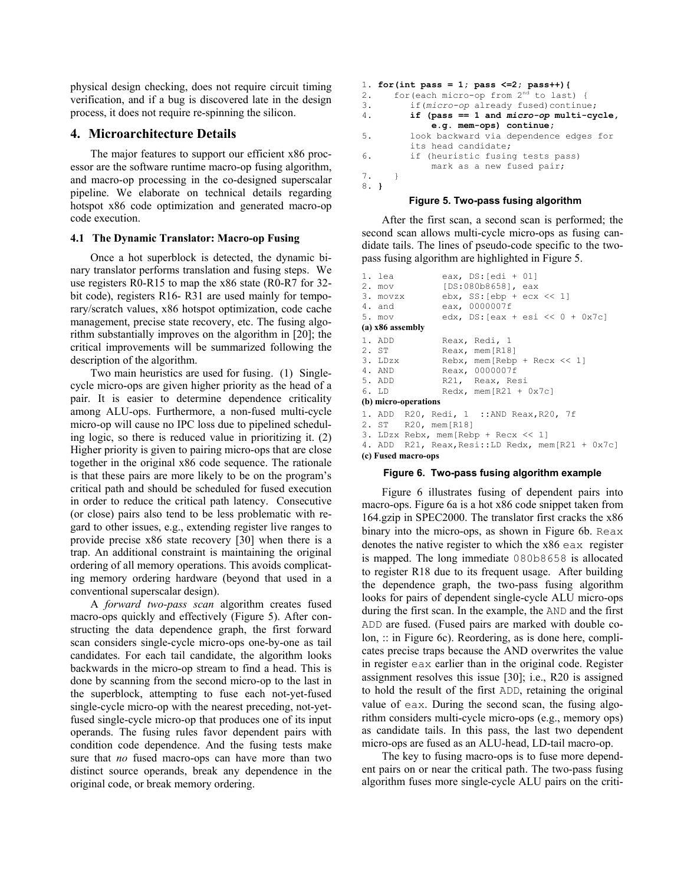physical design checking, does not require circuit timing verification, and if a bug is discovered late in the design process, it does not require re-spinning the silicon.

# **4. Microarchitecture Details**

The major features to support our efficient x86 processor are the software runtime macro-op fusing algorithm, and macro-op processing in the co-designed superscalar pipeline. We elaborate on technical details regarding hotspot x86 code optimization and generated macro-op code execution.

### **4.1 The Dynamic Translator: Macro-op Fusing**

Once a hot superblock is detected, the dynamic binary translator performs translation and fusing steps. We use registers R0-R15 to map the x86 state (R0-R7 for 32 bit code), registers R16- R31 are used mainly for temporary/scratch values, x86 hotspot optimization, code cache management, precise state recovery, etc. The fusing algorithm substantially improves on the algorithm in [20]; the critical improvements will be summarized following the description of the algorithm.

Two main heuristics are used for fusing. (1) Singlecycle micro-ops are given higher priority as the head of a pair. It is easier to determine dependence criticality among ALU-ops. Furthermore, a non-fused multi-cycle micro-op will cause no IPC loss due to pipelined scheduling logic, so there is reduced value in prioritizing it. (2) Higher priority is given to pairing micro-ops that are close together in the original x86 code sequence. The rationale is that these pairs are more likely to be on the program's critical path and should be scheduled for fused execution in order to reduce the critical path latency. Consecutive (or close) pairs also tend to be less problematic with regard to other issues, e.g., extending register live ranges to provide precise x86 state recovery [30] when there is a trap. An additional constraint is maintaining the original ordering of all memory operations. This avoids complicating memory ordering hardware (beyond that used in a conventional superscalar design).

A *forward two-pass scan* algorithm creates fused macro-ops quickly and effectively (Figure 5). After constructing the data dependence graph, the first forward scan considers single-cycle micro-ops one-by-one as tail candidates. For each tail candidate, the algorithm looks backwards in the micro-op stream to find a head. This is done by scanning from the second micro-op to the last in the superblock, attempting to fuse each not-yet-fused single-cycle micro-op with the nearest preceding, not-yetfused single-cycle micro-op that produces one of its input operands. The fusing rules favor dependent pairs with condition code dependence. And the fusing tests make sure that *no* fused macro-ops can have more than two distinct source operands, break any dependence in the original code, or break memory ordering.

```
1. for(int pass = 1; pass <=2; pass++){ 
2. for (each micro-op from 2^{\text{nd}} to last) {<br>3. if (micro-op already fused) continu
3. if(micro-op already fused)continue;<br>4. if (pass == 1 and micro-op multi-cv
           4. if (pass == 1 and micro-op multi-cycle, 
                 e.g. mem-ops) continue; 
5. look backward via dependence edges for 
            its head candidate; 
6. if (heuristic fusing tests pass) 
                 mark as a new fused pair; 
7. } 
8. }
```
### **Figure 5. Two-pass fusing algorithm**

After the first scan, a second scan is performed; the second scan allows multi-cycle micro-ops as fusing candidate tails. The lines of pseudo-code specific to the twopass fusing algorithm are highlighted in Figure 5.

```
1. lea eax, DS:[edi + 01]<br>2. mov [DS:080b8658], eax
                [DS:080b8658], eax
3. movzx ebx, SS: [ebp + ecx << 1]<br>4. and eax, 0000007f
                eax, 0000007f
5. mov edx, DS:[eax + esi << 0 + 0x7c] 
(a) x86 assembly 
1. ADD Reax, Redi, 1 
2. ST Reax, mem[R18]
3. LDzx Rebx, mem[Rebp + Recx << 1] 
4. AND Reax, 0000007f 
5. ADD R21, Reax, Resi<br>6. LD Redx. mem[R21 +
                Redx, mem[R21 + 0x7c](b) micro-operations 
1. ADD R20, Redi, 1 ::AND Reax,R20, 7f 
        R20, mem[R18]
3. LDzx Rebx, mem[Rebp + Recx << 1] 
4. ADD R21, Reax,Resi::LD Redx, mem[R21 + 0x7c] 
(c) Fused macro-ops
```
### **Figure 6. Two-pass fusing algorithm example**

Figure 6 illustrates fusing of dependent pairs into macro-ops. Figure 6a is a hot x86 code snippet taken from 164.gzip in SPEC2000. The translator first cracks the x86 binary into the micro-ops, as shown in Figure 6b. Reax denotes the native register to which the x86 eax register is mapped. The long immediate 080b8658 is allocated to register R18 due to its frequent usage. After building the dependence graph, the two-pass fusing algorithm looks for pairs of dependent single-cycle ALU micro-ops during the first scan. In the example, the AND and the first ADD are fused. (Fused pairs are marked with double colon, :: in Figure 6c). Reordering, as is done here, complicates precise traps because the AND overwrites the value in register eax earlier than in the original code. Register assignment resolves this issue [30]; i.e., R20 is assigned to hold the result of the first ADD, retaining the original value of eax. During the second scan, the fusing algorithm considers multi-cycle micro-ops (e.g., memory ops) as candidate tails. In this pass, the last two dependent micro-ops are fused as an ALU-head, LD-tail macro-op.

The key to fusing macro-ops is to fuse more dependent pairs on or near the critical path. The two-pass fusing algorithm fuses more single-cycle ALU pairs on the criti-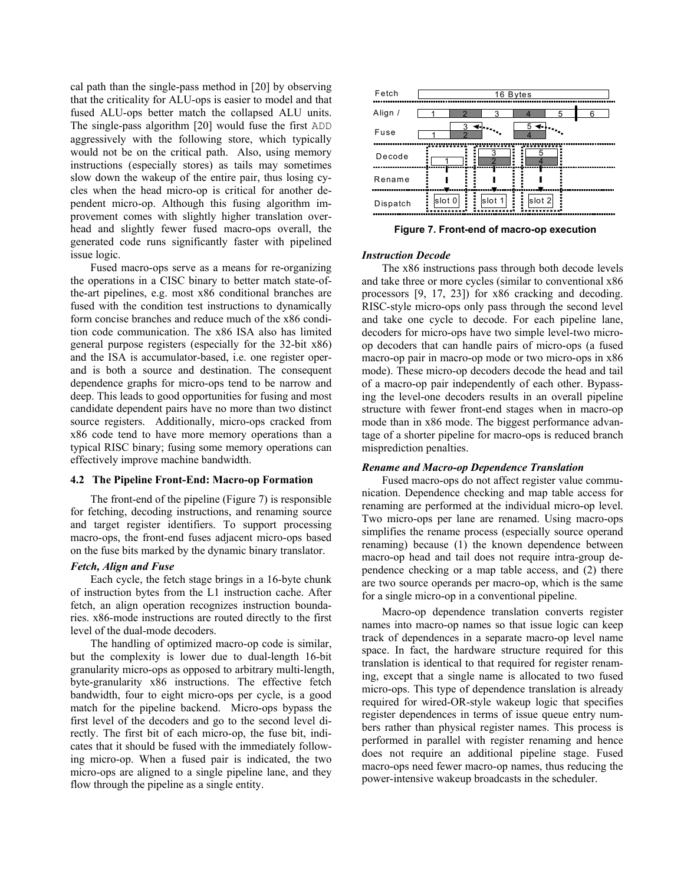cal path than the single-pass method in [20] by observing that the criticality for ALU-ops is easier to model and that fused ALU-ops better match the collapsed ALU units. The single-pass algorithm [20] would fuse the first ADD aggressively with the following store, which typically would not be on the critical path. Also, using memory instructions (especially stores) as tails may sometimes slow down the wakeup of the entire pair, thus losing cycles when the head micro-op is critical for another dependent micro-op. Although this fusing algorithm improvement comes with slightly higher translation overhead and slightly fewer fused macro-ops overall, the generated code runs significantly faster with pipelined issue logic.

Fused macro-ops serve as a means for re-organizing the operations in a CISC binary to better match state-ofthe-art pipelines, e.g. most x86 conditional branches are fused with the condition test instructions to dynamically form concise branches and reduce much of the x86 condition code communication. The x86 ISA also has limited general purpose registers (especially for the 32-bit x86) and the ISA is accumulator-based, i.e. one register operand is both a source and destination. The consequent dependence graphs for micro-ops tend to be narrow and deep. This leads to good opportunities for fusing and most candidate dependent pairs have no more than two distinct source registers. Additionally, micro-ops cracked from x86 code tend to have more memory operations than a typical RISC binary; fusing some memory operations can effectively improve machine bandwidth.

### **4.2 The Pipeline Front-End: Macro-op Formation**

The front-end of the pipeline (Figure 7) is responsible for fetching, decoding instructions, and renaming source and target register identifiers. To support processing macro-ops, the front-end fuses adjacent micro-ops based on the fuse bits marked by the dynamic binary translator.

#### *Fetch, Align and Fuse*

Each cycle, the fetch stage brings in a 16-byte chunk of instruction bytes from the L1 instruction cache. After fetch, an align operation recognizes instruction boundaries. x86-mode instructions are routed directly to the first level of the dual-mode decoders.

The handling of optimized macro-op code is similar, but the complexity is lower due to dual-length 16-bit granularity micro-ops as opposed to arbitrary multi-length, byte-granularity x86 instructions. The effective fetch bandwidth, four to eight micro-ops per cycle, is a good match for the pipeline backend. Micro-ops bypass the first level of the decoders and go to the second level directly. The first bit of each micro-op, the fuse bit, indicates that it should be fused with the immediately following micro-op. When a fused pair is indicated, the two micro-ops are aligned to a single pipeline lane, and they flow through the pipeline as a single entity.



 **Figure 7. Front-end of macro-op execution**

#### *Instruction Decode*

The x86 instructions pass through both decode levels and take three or more cycles (similar to conventional x86 processors [9, 17, 23]) for x86 cracking and decoding. RISC-style micro-ops only pass through the second level and take one cycle to decode. For each pipeline lane, decoders for micro-ops have two simple level-two microop decoders that can handle pairs of micro-ops (a fused macro-op pair in macro-op mode or two micro-ops in x86 mode). These micro-op decoders decode the head and tail of a macro-op pair independently of each other. Bypassing the level-one decoders results in an overall pipeline structure with fewer front-end stages when in macro-op mode than in x86 mode. The biggest performance advantage of a shorter pipeline for macro-ops is reduced branch misprediction penalties.

### *Rename and Macro-op Dependence Translation*

Fused macro-ops do not affect register value communication. Dependence checking and map table access for renaming are performed at the individual micro-op level. Two micro-ops per lane are renamed. Using macro-ops simplifies the rename process (especially source operand renaming) because (1) the known dependence between macro-op head and tail does not require intra-group dependence checking or a map table access, and (2) there are two source operands per macro-op, which is the same for a single micro-op in a conventional pipeline.

Macro-op dependence translation converts register names into macro-op names so that issue logic can keep track of dependences in a separate macro-op level name space. In fact, the hardware structure required for this translation is identical to that required for register renaming, except that a single name is allocated to two fused micro-ops. This type of dependence translation is already required for wired-OR-style wakeup logic that specifies register dependences in terms of issue queue entry numbers rather than physical register names. This process is performed in parallel with register renaming and hence does not require an additional pipeline stage. Fused macro-ops need fewer macro-op names, thus reducing the power-intensive wakeup broadcasts in the scheduler.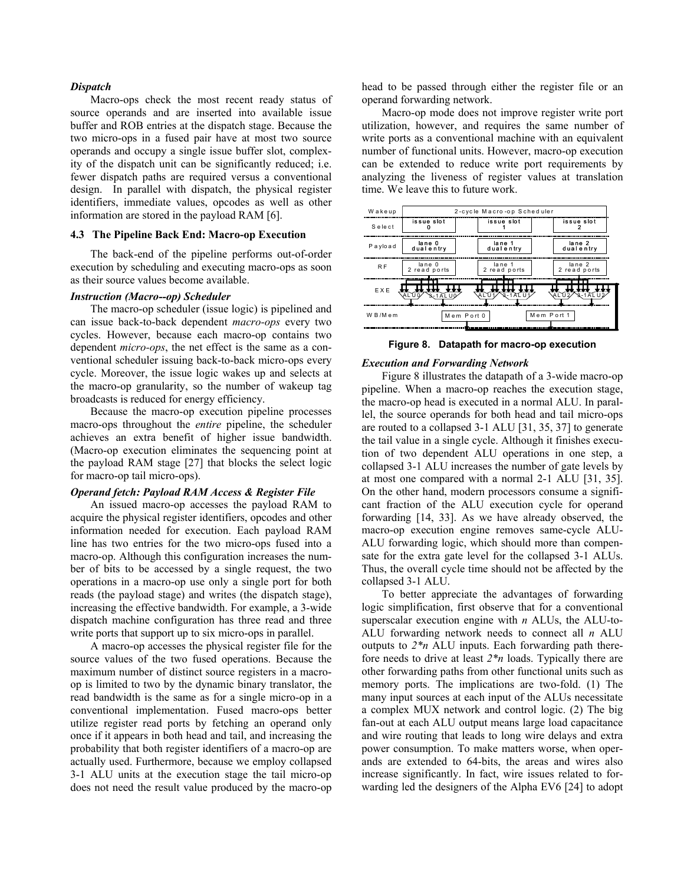### *Dispatch*

Macro-ops check the most recent ready status of source operands and are inserted into available issue buffer and ROB entries at the dispatch stage. Because the two micro-ops in a fused pair have at most two source operands and occupy a single issue buffer slot, complexity of the dispatch unit can be significantly reduced; i.e. fewer dispatch paths are required versus a conventional design. In parallel with dispatch, the physical register identifiers, immediate values, opcodes as well as other information are stored in the payload RAM [6].

#### **4.3 The Pipeline Back End: Macro-op Execution**

The back-end of the pipeline performs out-of-order execution by scheduling and executing macro-ops as soon as their source values become available.

#### *Instruction (Macro--op) Scheduler*

The macro-op scheduler (issue logic) is pipelined and can issue back-to-back dependent *macro-ops* every two cycles. However, because each macro-op contains two dependent *micro-ops*, the net effect is the same as a conventional scheduler issuing back-to-back micro-ops every cycle. Moreover, the issue logic wakes up and selects at the macro-op granularity, so the number of wakeup tag broadcasts is reduced for energy efficiency.

Because the macro-op execution pipeline processes macro-ops throughout the *entire* pipeline, the scheduler achieves an extra benefit of higher issue bandwidth. (Macro-op execution eliminates the sequencing point at the payload RAM stage [27] that blocks the select logic for macro-op tail micro-ops).

### *Operand fetch: Payload RAM Access & Register File*

An issued macro-op accesses the payload RAM to acquire the physical register identifiers, opcodes and other information needed for execution. Each payload RAM line has two entries for the two micro-ops fused into a macro-op. Although this configuration increases the number of bits to be accessed by a single request, the two operations in a macro-op use only a single port for both reads (the payload stage) and writes (the dispatch stage), increasing the effective bandwidth. For example, a 3-wide dispatch machine configuration has three read and three write ports that support up to six micro-ops in parallel.

A macro-op accesses the physical register file for the source values of the two fused operations. Because the maximum number of distinct source registers in a macroop is limited to two by the dynamic binary translator, the read bandwidth is the same as for a single micro-op in a conventional implementation. Fused macro-ops better utilize register read ports by fetching an operand only once if it appears in both head and tail, and increasing the probability that both register identifiers of a macro-op are actually used. Furthermore, because we employ collapsed 3-1 ALU units at the execution stage the tail micro-op does not need the result value produced by the macro-op head to be passed through either the register file or an operand forwarding network.

Macro-op mode does not improve register write port utilization, however, and requires the same number of write ports as a conventional machine with an equivalent number of functional units. However, macro-op execution can be extended to reduce write port requirements by analyzing the liveness of register values at translation time. We leave this to future work.

| Wakeup     | 2-cycle Macro-op Scheduler |              |                   |  |  |  |  |
|------------|----------------------------|--------------|-------------------|--|--|--|--|
| Select     | issue slot                 | issue slot   | issue slot        |  |  |  |  |
| Payload    | lane 0                     | lane 1       | lane 2            |  |  |  |  |
|            | dualentry                  | dualentry    | dualentry         |  |  |  |  |
| R F        | $l$ ane 0                  | lane 1       | lane <sub>2</sub> |  |  |  |  |
|            | 2 read ports               | 2 read ports | 2 read ports      |  |  |  |  |
| <b>EXE</b> | m                          | <b>VAL U</b> | ALU <sub>2</sub>  |  |  |  |  |
|            | SI- 1 A LU 0-              | sl- ≀ATLU    | 3.-1 A LU 2       |  |  |  |  |
| W B/Mem    | Mem Port 0                 |              | Mem Port 1        |  |  |  |  |

**Figure 8. Datapath for macro-op execution**

### *Execution and Forwarding Network*

Figure 8 illustrates the datapath of a 3-wide macro-op pipeline. When a macro-op reaches the execution stage, the macro-op head is executed in a normal ALU. In parallel, the source operands for both head and tail micro-ops are routed to a collapsed 3-1 ALU [31, 35, 37] to generate the tail value in a single cycle. Although it finishes execution of two dependent ALU operations in one step, a collapsed 3-1 ALU increases the number of gate levels by at most one compared with a normal 2-1 ALU [31, 35]. On the other hand, modern processors consume a significant fraction of the ALU execution cycle for operand forwarding [14, 33]. As we have already observed, the macro-op execution engine removes same-cycle ALU-ALU forwarding logic, which should more than compensate for the extra gate level for the collapsed 3-1 ALUs. Thus, the overall cycle time should not be affected by the collapsed 3-1 ALU.

To better appreciate the advantages of forwarding logic simplification, first observe that for a conventional superscalar execution engine with *n* ALUs, the ALU-to-ALU forwarding network needs to connect all *n* ALU outputs to  $2*n$  ALU inputs. Each forwarding path therefore needs to drive at least *2\*n* loads. Typically there are other forwarding paths from other functional units such as memory ports. The implications are two-fold. (1) The many input sources at each input of the ALUs necessitate a complex MUX network and control logic. (2) The big fan-out at each ALU output means large load capacitance and wire routing that leads to long wire delays and extra power consumption. To make matters worse, when operands are extended to 64-bits, the areas and wires also increase significantly. In fact, wire issues related to forwarding led the designers of the Alpha EV6 [24] to adopt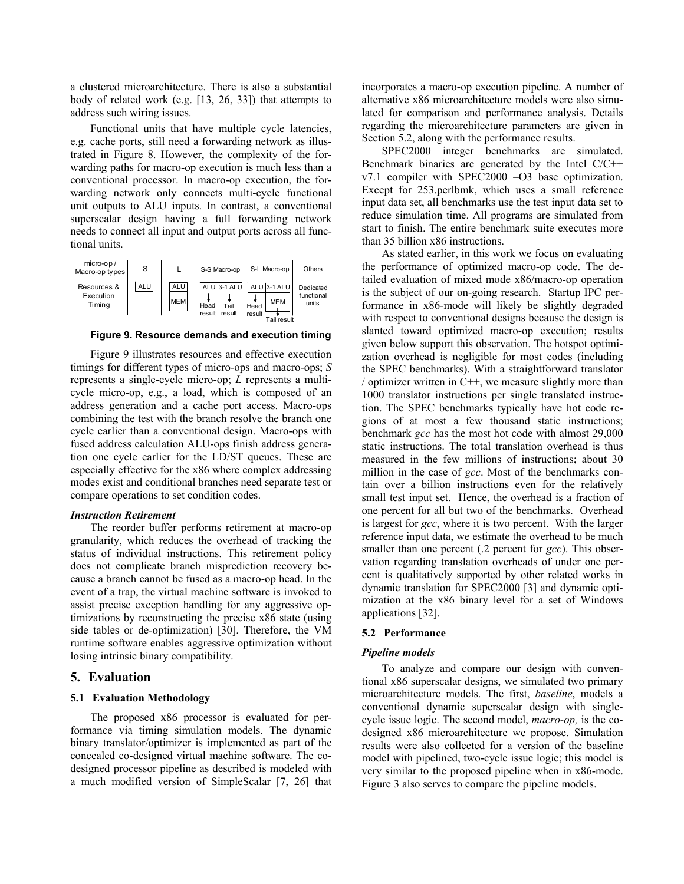a clustered microarchitecture. There is also a substantial body of related work (e.g. [13, 26, 33]) that attempts to address such wiring issues.

Functional units that have multiple cycle latencies, e.g. cache ports, still need a forwarding network as illustrated in Figure 8. However, the complexity of the forwarding paths for macro-op execution is much less than a conventional processor. In macro-op execution, the forwarding network only connects multi-cycle functional unit outputs to ALU inputs. In contrast, a conventional superscalar design having a full forwarding network needs to connect all input and output ports across all functional units.



 **Figure 9. Resource demands and execution timing**

Figure 9 illustrates resources and effective execution timings for different types of micro-ops and macro-ops; *S* represents a single-cycle micro-op; *L* represents a multicycle micro-op, e.g., a load, which is composed of an address generation and a cache port access. Macro-ops combining the test with the branch resolve the branch one cycle earlier than a conventional design. Macro-ops with fused address calculation ALU-ops finish address generation one cycle earlier for the LD/ST queues. These are especially effective for the x86 where complex addressing modes exist and conditional branches need separate test or compare operations to set condition codes.

### *Instruction Retirement*

The reorder buffer performs retirement at macro-op granularity, which reduces the overhead of tracking the status of individual instructions. This retirement policy does not complicate branch misprediction recovery because a branch cannot be fused as a macro-op head. In the event of a trap, the virtual machine software is invoked to assist precise exception handling for any aggressive optimizations by reconstructing the precise x86 state (using side tables or de-optimization) [30]. Therefore, the VM runtime software enables aggressive optimization without losing intrinsic binary compatibility.

### **5. Evaluation**

### **5.1 Evaluation Methodology**

The proposed x86 processor is evaluated for performance via timing simulation models. The dynamic binary translator/optimizer is implemented as part of the concealed co-designed virtual machine software. The codesigned processor pipeline as described is modeled with a much modified version of SimpleScalar [7, 26] that incorporates a macro-op execution pipeline. A number of alternative x86 microarchitecture models were also simulated for comparison and performance analysis. Details regarding the microarchitecture parameters are given in Section 5.2, along with the performance results.

SPEC2000 integer benchmarks are simulated. Benchmark binaries are generated by the Intel C/C++ v7.1 compiler with SPEC2000 –O3 base optimization. Except for 253.perlbmk, which uses a small reference input data set, all benchmarks use the test input data set to reduce simulation time. All programs are simulated from start to finish. The entire benchmark suite executes more than 35 billion x86 instructions.

As stated earlier, in this work we focus on evaluating the performance of optimized macro-op code. The detailed evaluation of mixed mode x86/macro-op operation is the subject of our on-going research. Startup IPC performance in x86-mode will likely be slightly degraded with respect to conventional designs because the design is slanted toward optimized macro-op execution; results given below support this observation. The hotspot optimization overhead is negligible for most codes (including the SPEC benchmarks). With a straightforward translator / optimizer written in  $C++$ , we measure slightly more than 1000 translator instructions per single translated instruction. The SPEC benchmarks typically have hot code regions of at most a few thousand static instructions; benchmark *gcc* has the most hot code with almost 29,000 static instructions. The total translation overhead is thus measured in the few millions of instructions; about 30 million in the case of *gcc*. Most of the benchmarks contain over a billion instructions even for the relatively small test input set. Hence, the overhead is a fraction of one percent for all but two of the benchmarks. Overhead is largest for *gcc*, where it is two percent. With the larger reference input data, we estimate the overhead to be much smaller than one percent (.2 percent for *gcc*). This observation regarding translation overheads of under one percent is qualitatively supported by other related works in dynamic translation for SPEC2000 [3] and dynamic optimization at the x86 binary level for a set of Windows applications [32].

### **5.2 Performance**

### *Pipeline models*

To analyze and compare our design with conventional x86 superscalar designs, we simulated two primary microarchitecture models. The first, *baseline*, models a conventional dynamic superscalar design with singlecycle issue logic. The second model, *macro-op,* is the codesigned x86 microarchitecture we propose. Simulation results were also collected for a version of the baseline model with pipelined, two-cycle issue logic; this model is very similar to the proposed pipeline when in x86-mode. Figure 3 also serves to compare the pipeline models.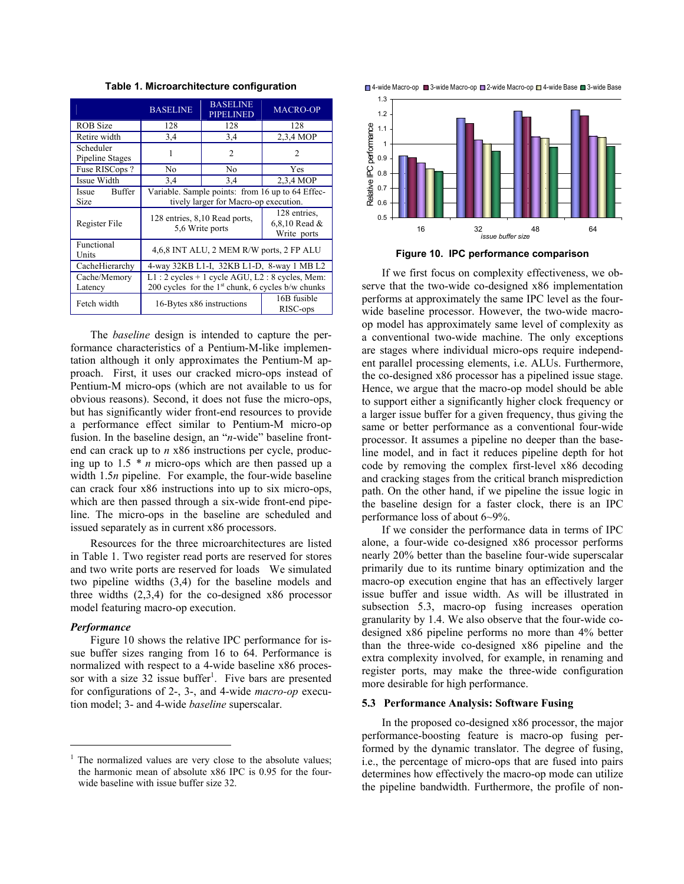|                               | <b>BASELINE</b>                                     | <b>BASELINE</b><br><b>PIPELINED</b>          | <b>MACRO-OP</b> |  |  |  |  |
|-------------------------------|-----------------------------------------------------|----------------------------------------------|-----------------|--|--|--|--|
| <b>ROB</b> Size               | 128                                                 | 128                                          | 128             |  |  |  |  |
| Retire width                  | 3,4                                                 | 3,4                                          | 2,3,4 MOP       |  |  |  |  |
| Scheduler<br>Pipeline Stages  |                                                     | 2                                            | $\overline{c}$  |  |  |  |  |
| Fuse RISCops?                 | No                                                  | No                                           | Yes             |  |  |  |  |
| Issue Width                   | 3,4                                                 | 3,4                                          | 2,3,4 MOP       |  |  |  |  |
| <b>Buffer</b><br><b>Issue</b> | Variable. Sample points: from 16 up to 64 Effec-    |                                              |                 |  |  |  |  |
| Size                          | tively larger for Macro-op execution.               |                                              |                 |  |  |  |  |
| Register File                 | 128 entries, 8,10 Read ports,<br>5,6 Write ports    | 128 entries.<br>6,8,10 Read &<br>Write ports |                 |  |  |  |  |
| Functional<br>Units           | 4,6,8 INT ALU, 2 MEM R/W ports, 2 FP ALU            |                                              |                 |  |  |  |  |
| CacheHierarchy                | 4-way 32KB L1-I, 32KB L1-D, 8-way 1 MB L2           |                                              |                 |  |  |  |  |
| Cache/Memory                  | $L1:2$ cycles + 1 cycle AGU, $L2:8$ cycles, Mem:    |                                              |                 |  |  |  |  |
| Latency                       | 200 cycles for the $1st$ chunk, 6 cycles b/w chunks |                                              |                 |  |  |  |  |
| Fetch width                   | 16-Bytes x86 instructions                           | 16B fusible<br>RISC-ops                      |                 |  |  |  |  |

**Table 1. Microarchitecture configuration** 

The *baseline* design is intended to capture the performance characteristics of a Pentium-M-like implementation although it only approximates the Pentium-M approach. First, it uses our cracked micro-ops instead of Pentium-M micro-ops (which are not available to us for obvious reasons). Second, it does not fuse the micro-ops, but has significantly wider front-end resources to provide a performance effect similar to Pentium-M micro-op fusion. In the baseline design, an "*n*-wide" baseline frontend can crack up to *n* x86 instructions per cycle, producing up to 1.5 *\* n* micro-ops which are then passed up a width 1.5*n* pipeline. For example, the four-wide baseline can crack four x86 instructions into up to six micro-ops, which are then passed through a six-wide front-end pipeline. The micro-ops in the baseline are scheduled and issued separately as in current x86 processors.

Resources for the three microarchitectures are listed in Table 1. Two register read ports are reserved for stores and two write ports are reserved for loads We simulated two pipeline widths (3,4) for the baseline models and three widths (2,3,4) for the co-designed x86 processor model featuring macro-op execution.

### *Performance*

 $\overline{a}$ 

Figure 10 shows the relative IPC performance for issue buffer sizes ranging from 16 to 64. Performance is normalized with respect to a 4-wide baseline x86 processor with a size  $32$  issue buffer<sup>[1](#page-8-0)</sup>. Five bars are presented for configurations of 2-, 3-, and 4-wide *macro-op* execution model; 3- and 4-wide *baseline* superscalar.





If we first focus on complexity effectiveness, we observe that the two-wide co-designed x86 implementation performs at approximately the same IPC level as the fourwide baseline processor. However, the two-wide macroop model has approximately same level of complexity as a conventional two-wide machine. The only exceptions are stages where individual micro-ops require independent parallel processing elements, i.e. ALUs. Furthermore, the co-designed x86 processor has a pipelined issue stage. Hence, we argue that the macro-op model should be able to support either a significantly higher clock frequency or a larger issue buffer for a given frequency, thus giving the same or better performance as a conventional four-wide processor. It assumes a pipeline no deeper than the baseline model, and in fact it reduces pipeline depth for hot code by removing the complex first-level x86 decoding and cracking stages from the critical branch misprediction path. On the other hand, if we pipeline the issue logic in the baseline design for a faster clock, there is an IPC performance loss of about 6~9%.

If we consider the performance data in terms of IPC alone, a four-wide co-designed x86 processor performs nearly 20% better than the baseline four-wide superscalar primarily due to its runtime binary optimization and the macro-op execution engine that has an effectively larger issue buffer and issue width. As will be illustrated in subsection 5.3, macro-op fusing increases operation granularity by 1.4. We also observe that the four-wide codesigned x86 pipeline performs no more than 4% better than the three-wide co-designed x86 pipeline and the extra complexity involved, for example, in renaming and register ports, may make the three-wide configuration more desirable for high performance.

#### **5.3 Performance Analysis: Software Fusing**

In the proposed co-designed x86 processor, the major performance-boosting feature is macro-op fusing performed by the dynamic translator. The degree of fusing, i.e., the percentage of micro-ops that are fused into pairs determines how effectively the macro-op mode can utilize the pipeline bandwidth. Furthermore, the profile of non-

<span id="page-8-0"></span><sup>&</sup>lt;sup>1</sup> The normalized values are very close to the absolute values; the harmonic mean of absolute x86 IPC is 0.95 for the fourwide baseline with issue buffer size 32.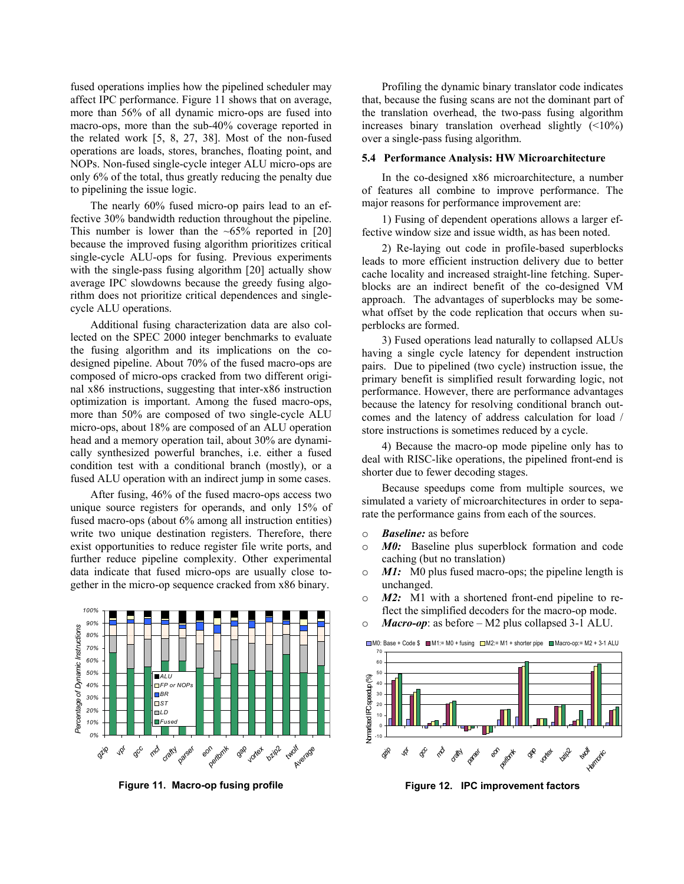fused operations implies how the pipelined scheduler may affect IPC performance. Figure 11 shows that on average, more than 56% of all dynamic micro-ops are fused into macro-ops, more than the sub-40% coverage reported in the related work [5, 8, 27, 38]. Most of the non-fused operations are loads, stores, branches, floating point, and NOPs. Non-fused single-cycle integer ALU micro-ops are only 6% of the total, thus greatly reducing the penalty due to pipelining the issue logic.

The nearly 60% fused micro-op pairs lead to an effect ive 30% bandwidth reduction throughout the pipeline. This number is lower than the  $~65\%$  reported in [20] because the improved fusing algorithm prioritizes critical single-cycle ALU-ops for fusing. Previous experiments with the single-pass fusing algorithm [20] actually show average IPC slowdowns because the greedy fusing algorithm does not prioritize critical dependences and singlecycle ALU operations.

Additional fusing characterization data are also collect ed on the SPEC 2000 integer benchmarks to evaluate the fusing algorithm and its implications on the codesigned pipeline. About 70% of the fused macro-ops are composed of micro-ops cracked from two different original x86 instructions, suggesting that inter-x86 instruction optimization is important. Among the fused macro-ops, more than 50% are composed of two single-cycle ALU micro-ops, about 18% are composed of an ALU operation head and a memory operation tail, about 30% are dynamically synthesized powerful branches, i.e. either a fused condition test with a conditional branch (mostly), or a fused ALU operation with an indirect jump in some cases.

uniq ue source registers for operands, and only 15% of After fusing, 46% of the fused macro-ops access two fused macro-ops (about 6% among all instruction entities) write two unique destination registers. Therefore, there exist opportunities to reduce register file write ports, and further reduce pipeline complexity. Other experimental data indicate that fused micro-ops are usually close together in the micro-op sequence cracked from x86 binary.



**Figure 11. Macro-op fusing profile**

Profiling the dynamic binary translator code indicates that , because the fusing scans are not the dominant part of the translation overhead, the two-pass fusing algorithm increases binary translation overhead slightly  $($ over a single-pass fusing algorithm.

### 5.4 Performance Analysis: HW Microarchitecture

of f eatures all combine to improve performance. The In the co-designed x86 microarchitecture, a number major reasons for performance improvement are:

1) Fusing of dependent operations allows a larger effect ive window size and issue width, as has been noted.

2) Re-laying out code in profile-based superblocks lead s to more efficient instruction delivery due to better cache locality and increased straight-line fetching. Superblocks are an indirect benefit of the co-designed VM approach. The advantages of superblocks may be somewhat offset by the code replication that occurs when superblocks are formed.

3) Fused operations lead naturally to collapsed ALUs havi ng a single cycle latency for dependent instruction pairs. Due to pipelined (two cycle) instruction issue, the primary benefit is simplified result forwarding logic, not performance. However, there are performance advantages because the latency for resolving conditional branch outcomes and the latency of address calculation for load / store instructions is sometimes reduced by a cycle.

4) Because the macro-op mode pipeline only has to deal with RISC-like operations, the pipelined front-end is shorter due to fewer decoding stages.

Because speedups come from multiple sources, we simu lated a variety of microarchitectures in order to separate the performance gains from each of the sources.

- o *Baseline:* as before
- o **M0:** Baseline plus superblock formation and code caching (but no translation)
- o *M1:* M0 plus fused macro-ops; the pipeline length is unchanged.
- o M2: M1 with a shortened front-end pipeline to reflect the simplified decoders for the macro-op mode.
- o *Macro-op*: as before M2 plus collapsed 3-1 ALU.



**Figure 12. IPC improvement factors**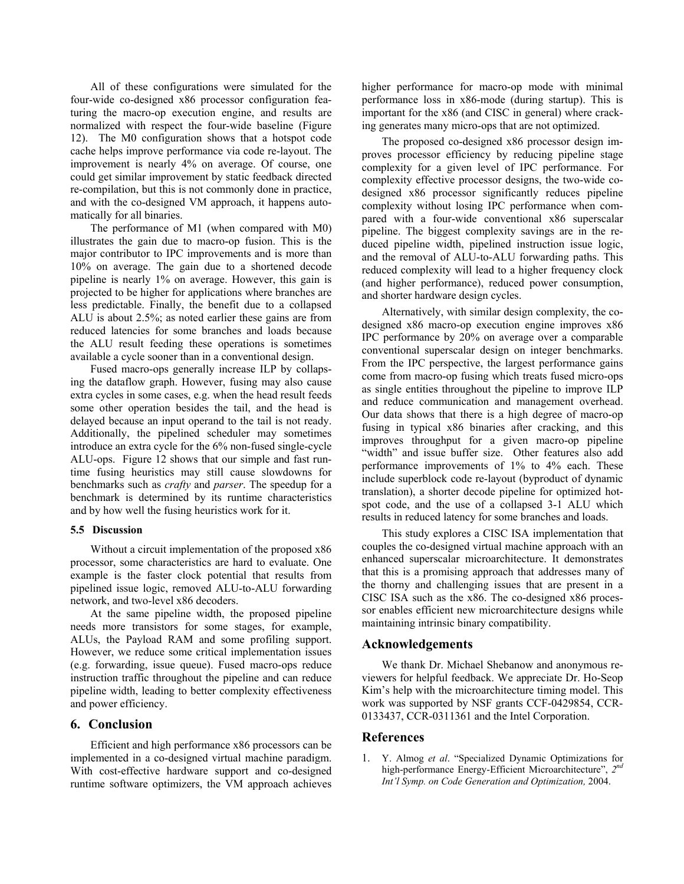All of these configurations were simulated for the four-wi de co-designed x86 processor configuration featuring the macro-op execution engine, and results are normalized with respect the four-wide baseline (Figure 12). The M0 configuration shows that a hotspot code cache helps improve performance via code re-layout. The improvement is nearly 4% on average. Of course, one could get similar improvement by static feedback directed re-compilation, but this is not commonly done in practice, and with the co-designed VM approach, it happens automatically for all binaries.

The performance of M1 (when compared with M0) illustrates the gain due to macro-op fusion. This is the major contributor to IPC improvements and is more than 10% on average. The gain due to a shortened decode pipeline is nearly 1% on average. However, this gain is projected to be higher for applications where branches are less predictable. Finally, the benefit due to a collapsed ALU is about 2.5%; as noted earlier these gains are from reduced latencies for some branches and loads because the ALU result feeding these operations is sometimes available a cycle sooner than in a conventional design.

Fused macro-ops generally increase ILP by collapsing the dataflow graph. However, fusing may also cause extra cycles in some cases, e.g. when the head result feeds some other operation besides the tail, and the head is delayed because an input operand to the tail is not ready. Additionally, the pipelined scheduler may sometimes introduce an extra cycle for the 6% non-fused single-cycle ALU-ops. Figure 12 shows that our simple and fast runtime fusing heuristics may still cause slowdowns for benchmarks such as *crafty* and *parser*. The speedup for a benchmark is determined by its runtime characteristics and by how well the fusing heuristics work for it.

### **5.5 Discussion**

Without a circuit implementation of the proposed x86 process or, some characteristics are hard to evaluate. One example is the faster clock potential that results from pipelined issue logic, removed ALU-to-ALU forwarding network, and two-level x86 decoders.

At the same pipeline width, the proposed pipeline needs more transistors for some stages, for example, ALUs, the Payload RAM and some profiling support. However, we reduce some critical implementation issues (e.g. forwarding, issue queue). Fused macro-ops reduce instruction traffic throughout the pipeline and can reduce pipeline width, leading to better complexity effectiveness and power efficiency.

# **6. Conclusion**

Efficient and high performance x86 processors can be implemented in a co-designed virtual machine paradigm. With cost-effective hardware support and co-designed runtime software optimizers, the VM approach achieves

higher performance for macro-op mode with minimal performance loss in x86-mode (during startup). This is important for the x86 (and CISC in general) where cracking generates many micro-ops that are not optimized.

proves processor efficiency by reducing pipeline stage com plexity for a given level of IPC performance. For The proposed co-designed x86 processor design imcomplexity effective processor designs, the two-wide codesigned x86 processor significantly reduces pipeline complexity without losing IPC performance when compared with a four-wide conventional x86 superscalar pipeline. The biggest complexity savings are in the reduced pipeline width, pipelined instruction issue logic, and the removal of ALU-to-ALU forwarding paths. This reduced complexity will lead to a higher frequency clock (and higher performance), reduced power consumption, and shorter hardware design cycles.

designed x86 macro-op execution engine improves x86 IPC performance by 20% on average over a comparable Alternatively, with similar design complexity, the coconventional superscalar design on integer benchmarks. From the IPC perspective, the largest performance gains come from macro-op fusing which treats fused micro-ops as single entities throughout the pipeline to improve ILP and reduce communication and management overhead. Our data shows that there is a high degree of macro-op fusing in typical x86 binaries after cracking, and this improves throughput for a given macro-op pipeline "width" and issue buffer size. Other features also add performance improvements of 1% to 4% each. These include superblock code re-layout (byproduct of dynamic translation), a shorter decode pipeline for optimized hotspot code, and the use of a collapsed 3-1 ALU which results in reduced latency for some branches and loads.

couples the co-designed virtual machine approach with an enha nced superscalar microarchitecture. It demonstrates This study explores a CISC ISA implementation that that this is a promising approach that addresses many of the thorny and challenging issues that are present in a CISC ISA such as the x86. The co-designed x86 processor enables efficient new microarchitecture designs while maintaining intrinsic binary compatibility.

### **Acknowledgements**

We thank Dr. Michael Shebanow and anonymous reviewers for helpful feedback. We appreciate Dr. Ho-Seop Kim 's help with the microarchitecture timing model. This work was supported by NSF grants CCF-0429854, CCR-0133437, CCR-0311361 and the Intel Corporation.

# **References**

1. Y. Almog *et al*. "Specialized Dynamic Optimizations for high-performance Energy-Efficient Microarchitecture", *2nd Int'l Symp. on Code Generation and Optimization,* 2004.